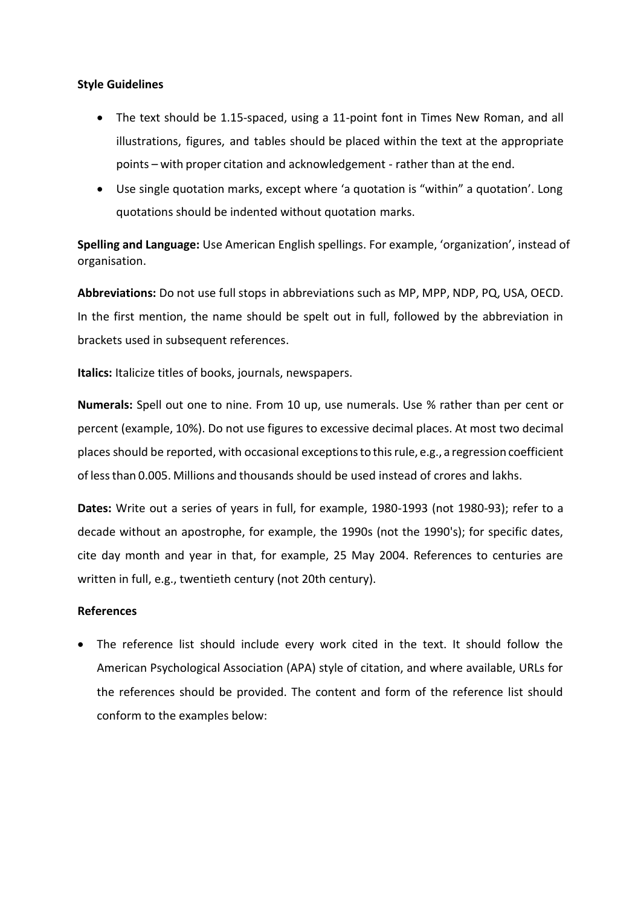## **Style Guidelines**

- The text should be 1.15-spaced, using a 11-point font in Times New Roman, and all illustrations, figures, and tables should be placed within the text at the appropriate points – with proper citation and acknowledgement - rather than at the end.
- Use single quotation marks, except where 'a quotation is "within" a quotation'. Long quotations should be indented without quotation marks.

**Spelling and Language:** Use American English spellings. For example, 'organization', instead of organisation.

**Abbreviations:** Do not use full stops in abbreviations such as MP, MPP, NDP, PQ, USA, OECD. In the first mention, the name should be spelt out in full, followed by the abbreviation in brackets used in subsequent references.

**Italics:** Italicize titles of books, journals, newspapers.

**Numerals:** Spell out one to nine. From 10 up, use numerals. Use % rather than per cent or percent (example, 10%). Do not use figures to excessive decimal places. At most two decimal places should be reported, with occasional exceptionsto thisrule, e.g., a regression coefficient of lessthan 0.005. Millions and thousands should be used instead of crores and lakhs.

**Dates:** Write out a series of years in full, for example, 1980-1993 (not 1980-93); refer to a decade without an apostrophe, for example, the 1990s (not the 1990's); for specific dates, cite day month and year in that, for example, 25 May 2004. References to centuries are written in full, e.g., twentieth century (not 20th century).

## **References**

 The reference list should include every work cited in the text. It should follow the American Psychological Association (APA) style of citation, and where available, URLs for the references should be provided. The content and form of the reference list should conform to the examples below: